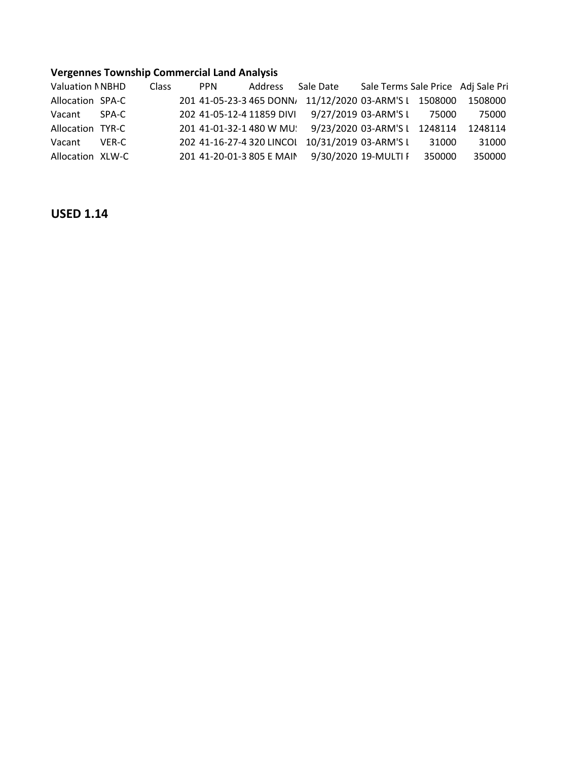## **Vergennes Township Commercial Land Analysis**

| <b>Valuation NNBHD</b> |       | Class | <b>PPN</b> | Address                   | Sale Date                     | Sale Terms Sale Price Adj Sale Pri |        |         |
|------------------------|-------|-------|------------|---------------------------|-------------------------------|------------------------------------|--------|---------|
| Allocation SPA-C       |       |       |            | 201 41-05-23-3 465 DONN   | 11/12/2020 03-ARM'S L 1508000 |                                    |        | 1508000 |
| Vacant                 | SPA-C |       |            | 202 41-05-12-4 11859 DIVI | 9/27/2019 03-ARM'S L 75000    |                                    |        | 75000   |
| Allocation TYR-C       |       |       |            | 201 41-01-32-1 480 W MU.  | 9/23/2020 03-ARM'S L 1248114  |                                    |        | 1248114 |
| Vacant                 | VER-C |       |            | 202 41-16-27-4 320 LINCOL | 10/31/2019 03-ARM'S L         |                                    | 31000  | 31000   |
| Allocation XLW-C       |       |       |            | 201 41-20-01-3 805 E MAIN |                               | 9/30/2020 19-MULTI F               | 350000 | 350000  |

## **USED 1.14**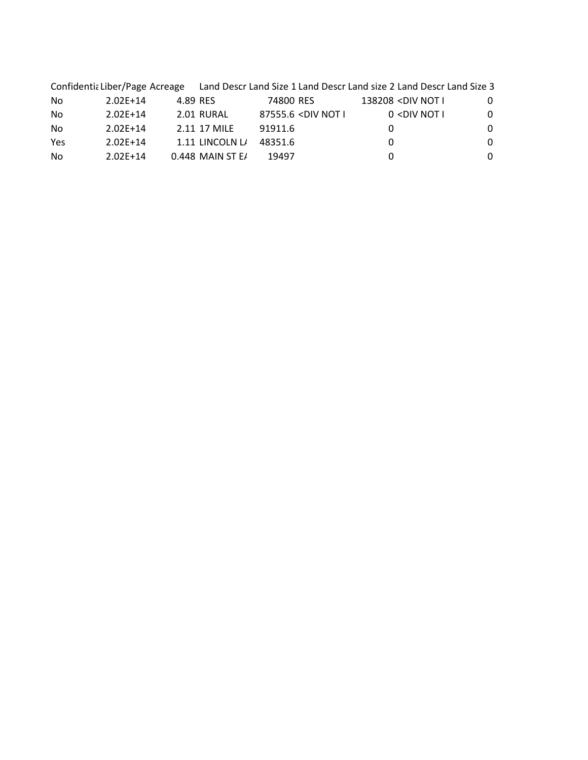|     |            |                  | Confidentia Liber/Page Acreage Land Descr Land Size 1 Land Descr Land size 2 Land Descr Land Size 3    |                                                 |          |  |  |
|-----|------------|------------------|--------------------------------------------------------------------------------------------------------|-------------------------------------------------|----------|--|--|
| No  | $2.02E+14$ | 4.89 RES         | 74800 RES                                                                                              | 138208 <div i<="" not="" td=""><td>0</td></div> | 0        |  |  |
| No  | $2.02E+14$ | 2.01 RURAL       | 87555.6 <div i<="" not="" td=""><td><math>0</math> <div i<="" not="" td=""><td>0</td></div></td></div> | $0$ <div i<="" not="" td=""><td>0</td></div>    | 0        |  |  |
| No  | $2.02E+14$ | 2.11 17 MILE     | 91911.6                                                                                                |                                                 | 0        |  |  |
| Yes | $2.02E+14$ | 1.11 LINCOLN L/  | 48351.6                                                                                                | 0                                               | $\Omega$ |  |  |
| No  | $2.02E+14$ | 0.448 MAIN ST E/ | 19497                                                                                                  | 0                                               | 0        |  |  |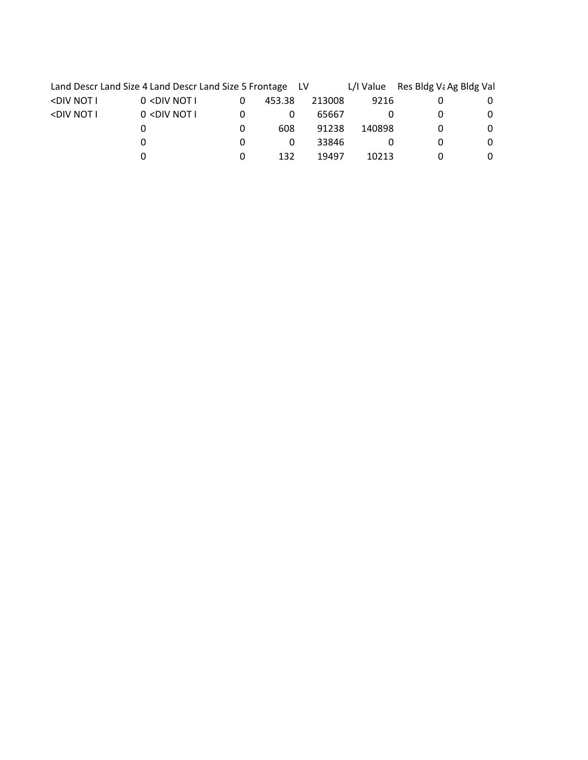|                                                                                                                                                              | Land Descr Land Size 4 Land Descr Land Size 5 Frontage LV                                                  |   |        |        |        | L/I Value Res Bldg Va Ag Bldg Val |   |
|--------------------------------------------------------------------------------------------------------------------------------------------------------------|------------------------------------------------------------------------------------------------------------|---|--------|--------|--------|-----------------------------------|---|
| <div i<="" not="" td=""><td><math>0</math> <div i<="" not="" td=""><td>0</td><td>453.38</td><td>213008</td><td>9216</td><td></td><td>O</td></div></td></div> | $0$ <div i<="" not="" td=""><td>0</td><td>453.38</td><td>213008</td><td>9216</td><td></td><td>O</td></div> | 0 | 453.38 | 213008 | 9216   |                                   | O |
| <div i<="" not="" td=""><td><math>0</math> <div i<="" not="" td=""><td></td><td>0</td><td>65667</td><td></td><td></td><td>0</td></div></td></div>            | $0$ <div i<="" not="" td=""><td></td><td>0</td><td>65667</td><td></td><td></td><td>0</td></div>            |   | 0      | 65667  |        |                                   | 0 |
|                                                                                                                                                              |                                                                                                            | 0 | 608    | 91238  | 140898 |                                   | 0 |
|                                                                                                                                                              |                                                                                                            |   | 0      | 33846  |        |                                   | 0 |
|                                                                                                                                                              |                                                                                                            |   | 132    | 19497  | 10213  |                                   | O |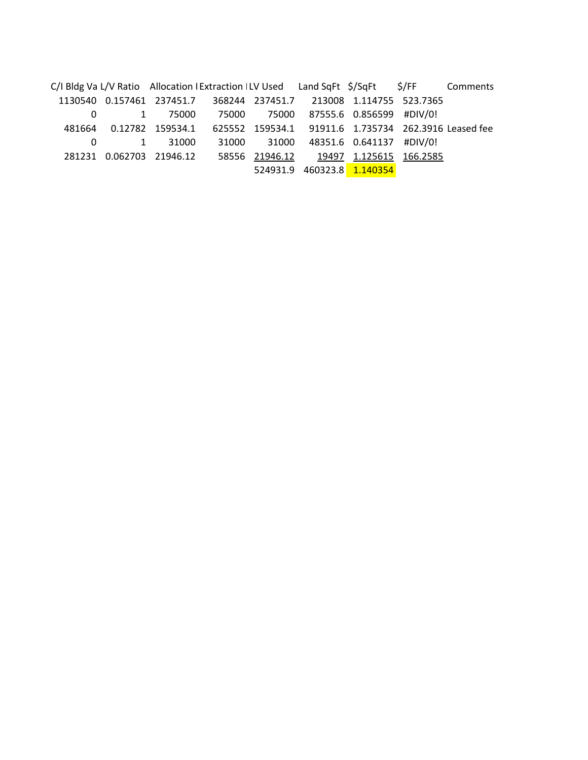C/I Bldg Va L/V Ratio Allocation I Extraction I LV Used Land SqFt \$/SqFt \$/FF Comments 1130540 0.157461 237451.7 368244 237451.7 213008 1.114755 523.7365 0 1 75000 75000 75000 87555.6 0.856599 #DIV/0! 481664 0.12782 159534.1 625552 159534.1 91911.6 1.735734 262.3916 Leased fee 0 1 31000 31000 31000 48351.6 0.641137 #DIV/0! 281231 0.062703 21946.12 58556 21946.12 19497 1.125615 166.2585 524931.9 460323.8 1.140354